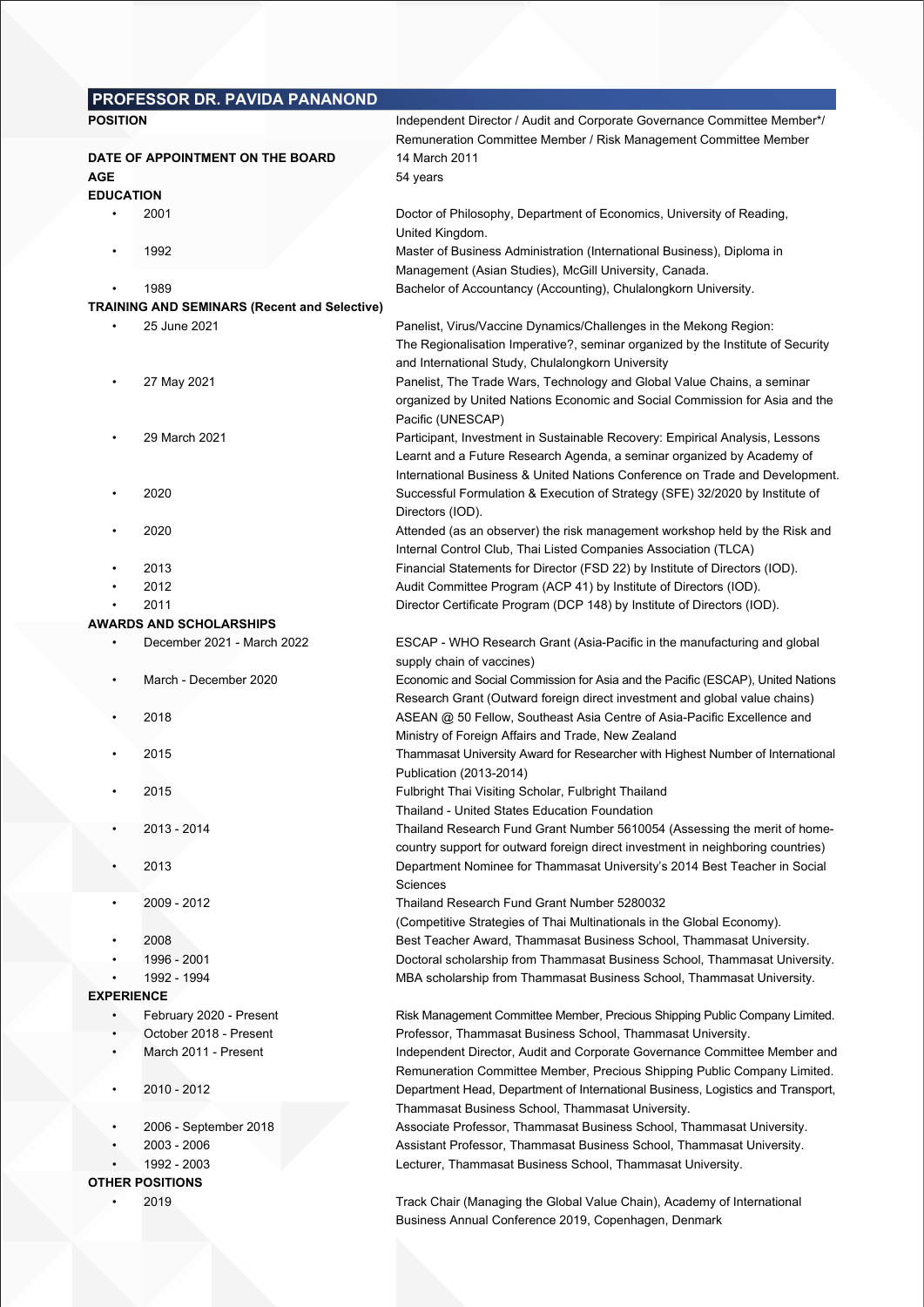|                                  | PROFESSOR DR. PAVIDA PANANOND                       |                                                                                                                                                                                                           |  |  |  |  |
|----------------------------------|-----------------------------------------------------|-----------------------------------------------------------------------------------------------------------------------------------------------------------------------------------------------------------|--|--|--|--|
| <b>POSITION</b>                  |                                                     | Independent Director / Audit and Corporate Governance Committee Member*/                                                                                                                                  |  |  |  |  |
|                                  |                                                     | Remuneration Committee Member / Risk Management Committee Member                                                                                                                                          |  |  |  |  |
| DATE OF APPOINTMENT ON THE BOARD |                                                     | 14 March 2011                                                                                                                                                                                             |  |  |  |  |
| AGE                              |                                                     | 54 years                                                                                                                                                                                                  |  |  |  |  |
| <b>EDUCATION</b>                 |                                                     |                                                                                                                                                                                                           |  |  |  |  |
|                                  | 2001                                                | Doctor of Philosophy, Department of Economics, University of Reading,<br>United Kingdom.                                                                                                                  |  |  |  |  |
| $\bullet$                        | 1992                                                | Master of Business Administration (International Business), Diploma in                                                                                                                                    |  |  |  |  |
|                                  | 1989                                                | Management (Asian Studies), McGill University, Canada.<br>Bachelor of Accountancy (Accounting), Chulalongkorn University.                                                                                 |  |  |  |  |
|                                  | <b>TRAINING AND SEMINARS (Recent and Selective)</b> |                                                                                                                                                                                                           |  |  |  |  |
|                                  | 25 June 2021                                        | Panelist, Virus/Vaccine Dynamics/Challenges in the Mekong Region:<br>The Regionalisation Imperative?, seminar organized by the Institute of Security<br>and International Study, Chulalongkorn University |  |  |  |  |
|                                  | 27 May 2021                                         | Panelist, The Trade Wars, Technology and Global Value Chains, a seminar<br>organized by United Nations Economic and Social Commission for Asia and the<br>Pacific (UNESCAP)                               |  |  |  |  |
|                                  | 29 March 2021                                       | Participant, Investment in Sustainable Recovery: Empirical Analysis, Lessons                                                                                                                              |  |  |  |  |
|                                  |                                                     | Learnt and a Future Research Agenda, a seminar organized by Academy of                                                                                                                                    |  |  |  |  |
|                                  | 2020                                                | International Business & United Nations Conference on Trade and Development.<br>Successful Formulation & Execution of Strategy (SFE) 32/2020 by Institute of<br>Directors (IOD).                          |  |  |  |  |
|                                  | 2020                                                | Attended (as an observer) the risk management workshop held by the Risk and                                                                                                                               |  |  |  |  |
|                                  |                                                     | Internal Control Club, Thai Listed Companies Association (TLCA)                                                                                                                                           |  |  |  |  |
|                                  | 2013                                                | Financial Statements for Director (FSD 22) by Institute of Directors (IOD).                                                                                                                               |  |  |  |  |
|                                  | 2012                                                | Audit Committee Program (ACP 41) by Institute of Directors (IOD).                                                                                                                                         |  |  |  |  |
|                                  | 2011                                                | Director Certificate Program (DCP 148) by Institute of Directors (IOD).                                                                                                                                   |  |  |  |  |
|                                  | <b>AWARDS AND SCHOLARSHIPS</b>                      |                                                                                                                                                                                                           |  |  |  |  |
| $\bullet$                        | December 2021 - March 2022                          | ESCAP - WHO Research Grant (Asia-Pacific in the manufacturing and global<br>supply chain of vaccines)                                                                                                     |  |  |  |  |
| $\bullet$                        | March - December 2020                               | Economic and Social Commission for Asia and the Pacific (ESCAP), United Nations<br>Research Grant (Outward foreign direct investment and global value chains)                                             |  |  |  |  |
|                                  | 2018                                                | ASEAN @ 50 Fellow, Southeast Asia Centre of Asia-Pacific Excellence and<br>Ministry of Foreign Affairs and Trade, New Zealand                                                                             |  |  |  |  |
|                                  | 2015                                                | Thammasat University Award for Researcher with Highest Number of International<br>Publication (2013-2014)                                                                                                 |  |  |  |  |
|                                  | 2015                                                | Fulbright Thai Visiting Scholar, Fulbright Thailand<br>Thailand - United States Education Foundation                                                                                                      |  |  |  |  |
|                                  | 2013 - 2014                                         | Thailand Research Fund Grant Number 5610054 (Assessing the merit of home-<br>country support for outward foreign direct investment in neighboring countries)                                              |  |  |  |  |
|                                  | 2013                                                | Department Nominee for Thammasat University's 2014 Best Teacher in Social<br>Sciences                                                                                                                     |  |  |  |  |
| $\bullet$                        | 2009 - 2012                                         | Thailand Research Fund Grant Number 5280032                                                                                                                                                               |  |  |  |  |
|                                  | 2008                                                | (Competitive Strategies of Thai Multinationals in the Global Economy).                                                                                                                                    |  |  |  |  |
|                                  | 1996 - 2001                                         | Best Teacher Award, Thammasat Business School, Thammasat University.<br>Doctoral scholarship from Thammasat Business School, Thammasat University.                                                        |  |  |  |  |
|                                  | 1992 - 1994                                         | MBA scholarship from Thammasat Business School, Thammasat University.                                                                                                                                     |  |  |  |  |
| <b>EXPERIENCE</b>                |                                                     |                                                                                                                                                                                                           |  |  |  |  |
|                                  | February 2020 - Present                             | Risk Management Committee Member, Precious Shipping Public Company Limited.                                                                                                                               |  |  |  |  |
| $\bullet$                        | October 2018 - Present                              | Professor, Thammasat Business School, Thammasat University.                                                                                                                                               |  |  |  |  |
|                                  | March 2011 - Present                                | Independent Director, Audit and Corporate Governance Committee Member and                                                                                                                                 |  |  |  |  |
|                                  |                                                     | Remuneration Committee Member, Precious Shipping Public Company Limited.                                                                                                                                  |  |  |  |  |
| $\bullet$                        | 2010 - 2012                                         | Department Head, Department of International Business, Logistics and Transport,                                                                                                                           |  |  |  |  |
|                                  |                                                     | Thammasat Business School, Thammasat University.                                                                                                                                                          |  |  |  |  |
|                                  | 2006 - September 2018                               | Associate Professor, Thammasat Business School, Thammasat University.                                                                                                                                     |  |  |  |  |
|                                  | 2003 - 2006                                         | Assistant Professor, Thammasat Business School, Thammasat University.                                                                                                                                     |  |  |  |  |
|                                  | 1992 - 2003                                         | Lecturer, Thammasat Business School, Thammasat University.                                                                                                                                                |  |  |  |  |
|                                  | <b>OTHER POSITIONS</b>                              |                                                                                                                                                                                                           |  |  |  |  |
|                                  | 2019                                                | Track Chair (Managing the Global Value Chain), Academy of International                                                                                                                                   |  |  |  |  |
|                                  |                                                     | Business Annual Conference 2019, Copenhagen, Denmark                                                                                                                                                      |  |  |  |  |